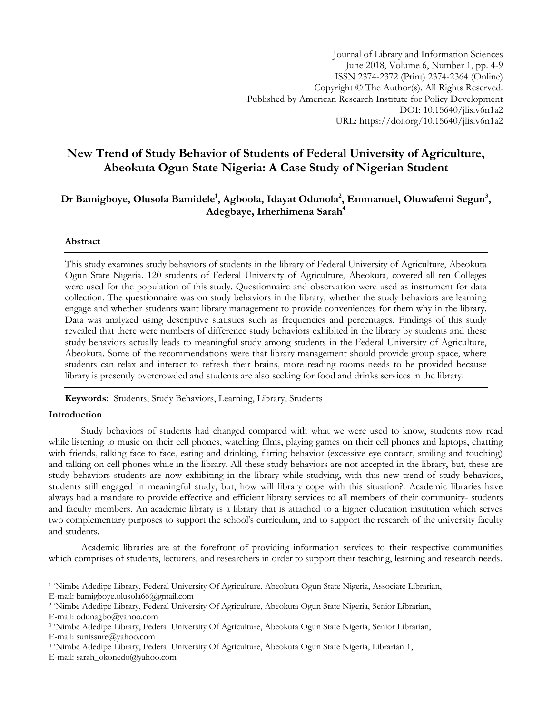# **New Trend of Study Behavior of Students of Federal University of Agriculture, Abeokuta Ogun State Nigeria: A Case Study of Nigerian Student**

## **Dr Bamigboye, Olusola Bamidele<sup>1</sup> , Agboola, Idayat Odunola<sup>2</sup> , Emmanuel, Oluwafemi Segun<sup>3</sup> , Adegbaye, Irherhimena Sarah<sup>4</sup>**

## **Abstract**

This study examines study behaviors of students in the library of Federal University of Agriculture, Abeokuta Ogun State Nigeria. 120 students of Federal University of Agriculture, Abeokuta, covered all ten Colleges were used for the population of this study. Questionnaire and observation were used as instrument for data collection. The questionnaire was on study behaviors in the library, whether the study behaviors are learning engage and whether students want library management to provide conveniences for them why in the library. Data was analyzed using descriptive statistics such as frequencies and percentages. Findings of this study revealed that there were numbers of difference study behaviors exhibited in the library by students and these study behaviors actually leads to meaningful study among students in the Federal University of Agriculture, Abeokuta. Some of the recommendations were that library management should provide group space, where students can relax and interact to refresh their brains, more reading rooms needs to be provided because library is presently overcrowded and students are also seeking for food and drinks services in the library.

**Keywords:** Students, Study Behaviors, Learning, Library, Students

## **Introduction**

Study behaviors of students had changed compared with what we were used to know, students now read while listening to music on their cell phones, watching films, playing games on their cell phones and laptops, chatting with friends, talking face to face, eating and drinking, flirting behavior (excessive eye contact, smiling and touching) and talking on cell phones while in the library. All these study behaviors are not accepted in the library, but, these are study behaviors students are now exhibiting in the library while studying, with this new trend of study behaviors, students still engaged in meaningful study, but, how will library cope with this situation?. Academic libraries have always had a mandate to provide effective and efficient library services to all members of their community- students and faculty members. An academic library is a library that is attached to a higher education institution which serves two complementary purposes to support the school's curriculum, and to support the research of the university faculty and students.

Academic libraries are at the forefront of providing information services to their respective communities which comprises of students, lecturers, and researchers in order to support their teaching, learning and research needs.

l 1 'Nimbe Adedipe Library, Federal University Of Agriculture, Abeokuta Ogun State Nigeria, Associate Librarian,

E-mail: bamigboye.olusola66@gmail.com

<sup>2</sup> 'Nimbe Adedipe Library, Federal University Of Agriculture, Abeokuta Ogun State Nigeria, Senior Librarian, E-mail: odunagbo@yahoo.com

<sup>3</sup> 'Nimbe Adedipe Library, Federal University Of Agriculture, Abeokuta Ogun State Nigeria, Senior Librarian,

E-mail: sunissure@yahoo.com

<sup>4</sup> 'Nimbe Adedipe Library, Federal University Of Agriculture, Abeokuta Ogun State Nigeria, Librarian 1,

E-mail: sarah\_okonedo@yahoo.com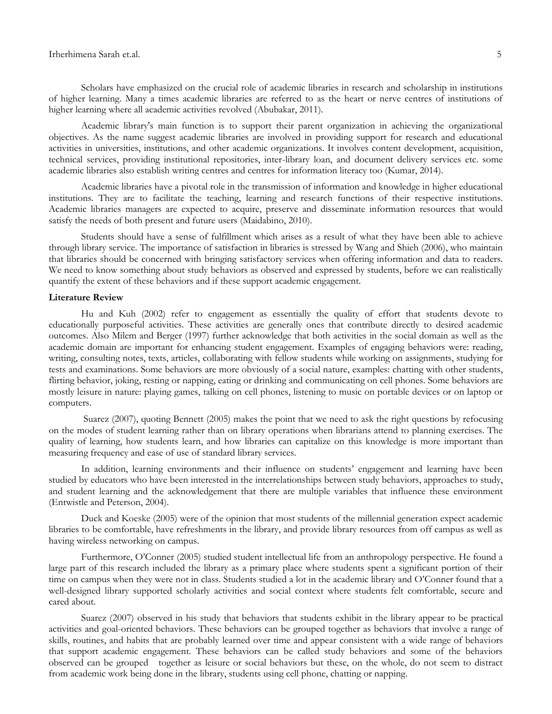Scholars have emphasized on the crucial role of academic libraries in research and scholarship in institutions of higher learning. Many a times academic libraries are referred to as the heart or nerve centres of institutions of higher learning where all academic activities revolved (Abubakar, 2011).

Academic library's main function is to support their parent organization in achieving the organizational objectives. As the name suggest academic libraries are involved in providing support for research and educational activities in universities, institutions, and other academic organizations. It involves content development, acquisition, technical services, providing institutional repositories, inter-library loan, and document delivery services etc. some academic libraries also establish writing centres and centres for information literacy too (Kumar, 2014).

Academic libraries have a pivotal role in the transmission of information and knowledge in higher educational institutions. They are to facilitate the teaching, learning and research functions of their respective institutions. Academic libraries managers are expected to acquire, preserve and disseminate information resources that would satisfy the needs of both present and future users (Maidabino, 2010).

Students should have a sense of fulfillment which arises as a result of what they have been able to achieve through library service. The importance of satisfaction in libraries is stressed by Wang and Shieh (2006), who maintain that libraries should be concerned with bringing satisfactory services when offering information and data to readers. We need to know something about study behaviors as observed and expressed by students, before we can realistically quantify the extent of these behaviors and if these support academic engagement.

## **Literature Review**

Hu and Kuh (2002) refer to engagement as essentially the quality of effort that students devote to educationally purposeful activities. These activities are generally ones that contribute directly to desired academic outcomes. Also Milem and Berger (1997) further acknowledge that both activities in the social domain as well as the academic domain are important for enhancing student engagement. Examples of engaging behaviors were: reading, writing, consulting notes, texts, articles, collaborating with fellow students while working on assignments, studying for tests and examinations. Some behaviors are more obviously of a social nature, examples: chatting with other students, flirting behavior, joking, resting or napping, eating or drinking and communicating on cell phones. Some behaviors are mostly leisure in nature: playing games, talking on cell phones, listening to music on portable devices or on laptop or computers.

Suarez (2007), quoting Bennett (2005) makes the point that we need to ask the right questions by refocusing on the modes of student learning rather than on library operations when librarians attend to planning exercises. The quality of learning, how students learn, and how libraries can capitalize on this knowledge is more important than measuring frequency and ease of use of standard library services.

In addition, learning environments and their influence on students' engagement and learning have been studied by educators who have been interested in the interrelationships between study behaviors, approaches to study, and student learning and the acknowledgement that there are multiple variables that influence these environment (Entwistle and Peterson, 2004).

Duck and Koeske (2005) were of the opinion that most students of the millennial generation expect academic libraries to be comfortable, have refreshments in the library, and provide library resources from off campus as well as having wireless networking on campus.

Furthermore, O'Conner (2005) studied student intellectual life from an anthropology perspective. He found a large part of this research included the library as a primary place where students spent a significant portion of their time on campus when they were not in class. Students studied a lot in the academic library and O'Conner found that a well-designed library supported scholarly activities and social context where students felt comfortable, secure and cared about.

Suarez (2007) observed in his study that behaviors that students exhibit in the library appear to be practical activities and goal-oriented behaviors. These behaviors can be grouped together as behaviors that involve a range of skills, routines, and habits that are probably learned over time and appear consistent with a wide range of behaviors that support academic engagement. These behaviors can be called study behaviors and some of the behaviors observed can be grouped together as leisure or social behaviors but these, on the whole, do not seem to distract from academic work being done in the library, students using cell phone, chatting or napping.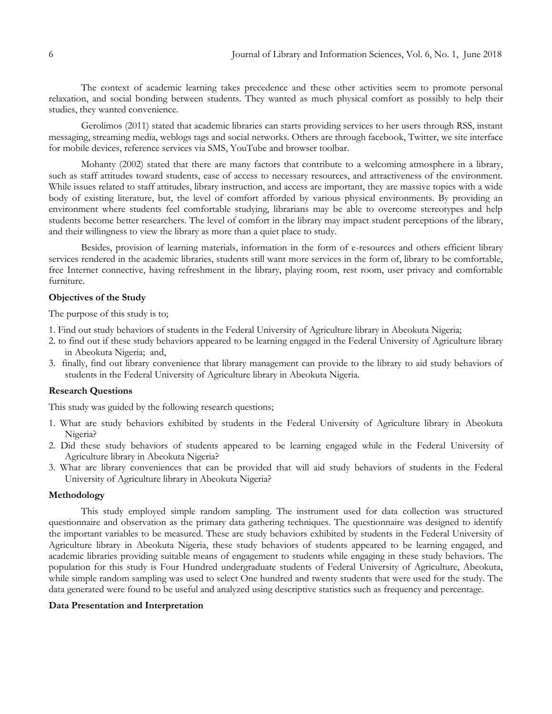The context of academic learning takes precedence and these other activities seem to promote personal relaxation, and social bonding between students. They wanted as much physical comfort as possibly to help their studies, they wanted convenience.

Gerolimos (2011) stated that academic libraries can starts providing services to her users through RSS, instant messaging, streaming media, weblogs tags and social networks. Others are through facebook, Twitter, we site interface for mobile devices, reference services via SMS, YouTube and browser toolbar.

Mohanty (2002) stated that there are many factors that contribute to a welcoming atmosphere in a library, such as staff attitudes toward students, ease of access to necessary resources, and attractiveness of the environment. While issues related to staff attitudes, library instruction, and access are important, they are massive topics with a wide body of existing literature, but, the level of comfort afforded by various physical environments. By providing an environment where students feel comfortable studying, librarians may be able to overcome stereotypes and help students become better researchers. The level of comfort in the library may impact student perceptions of the library, and their willingness to view the library as more than a quiet place to study.

Besides, provision of learning materials, information in the form of e-resources and others efficient library services rendered in the academic libraries, students still want more services in the form of, library to be comfortable, free Internet connective, having refreshment in the library, playing room, rest room, user privacy and comfortable furniture.

## **Objectives of the Study**

The purpose of this study is to;

- 1. Find out study behaviors of students in the Federal University of Agriculture library in Abeokuta Nigeria;
- 2. to find out if these study behaviors appeared to be learning engaged in the Federal University of Agriculture library in Abeokuta Nigeria; and,
- 3. finally, find out library convenience that library management can provide to the library to aid study behaviors of students in the Federal University of Agriculture library in Abeokuta Nigeria.

#### **Research Questions**

This study was guided by the following research questions;

- 1. What are study behaviors exhibited by students in the Federal University of Agriculture library in Abeokuta Nigeria?
- 2. Did these study behaviors of students appeared to be learning engaged while in the Federal University of Agriculture library in Abeokuta Nigeria?
- 3. What are library conveniences that can be provided that will aid study behaviors of students in the Federal University of Agriculture library in Abeokuta Nigeria?

## **Methodology**

This study employed simple random sampling. The instrument used for data collection was structured questionnaire and observation as the primary data gathering techniques. The questionnaire was designed to identify the important variables to be measured. These are study behaviors exhibited by students in the Federal University of Agriculture library in Abeokuta Nigeria, these study behaviors of students appeared to be learning engaged, and academic libraries providing suitable means of engagement to students while engaging in these study behaviors. The population for this study is Four Hundred undergraduate students of Federal University of Agriculture, Abeokuta, while simple random sampling was used to select One hundred and twenty students that were used for the study. The data generated were found to be useful and analyzed using descriptive statistics such as frequency and percentage.

### **Data Presentation and Interpretation**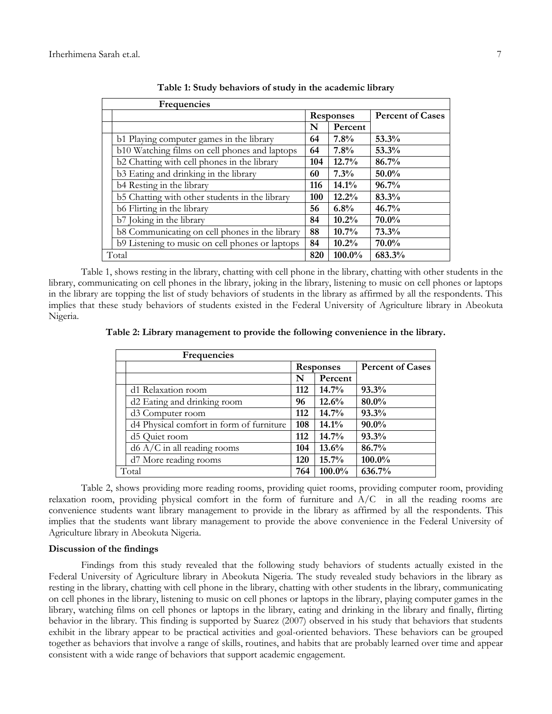| Frequencies |                                                 |                  |          |                         |
|-------------|-------------------------------------------------|------------------|----------|-------------------------|
|             |                                                 | <b>Responses</b> |          | <b>Percent of Cases</b> |
|             |                                                 | N                | Percent  |                         |
|             | b1 Playing computer games in the library        | 64               | 7.8%     | 53.3%                   |
|             | b10 Watching films on cell phones and laptops   | 64               | 7.8%     | 53.3%                   |
|             | b2 Chatting with cell phones in the library     | 104              | 12.7%    | 86.7%                   |
|             | b3 Eating and drinking in the library           | 60               | 7.3%     | 50.0%                   |
|             | b4 Resting in the library                       | 116              | 14.1%    | 96.7%                   |
|             | b5 Chatting with other students in the library  | 100              | 12.2%    | 83.3%                   |
|             | b6 Flirting in the library                      | 56               | 6.8%     | 46.7%                   |
|             | b7 Joking in the library                        | 84               | $10.2\%$ | 70.0%                   |
|             | b8 Communicating on cell phones in the library  | 88               | $10.7\%$ | 73.3%                   |
|             | b9 Listening to music on cell phones or laptops | 84               | $10.2\%$ | 70.0%                   |
|             | Total                                           |                  | 100.0%   | 683.3%                  |

**Table 1: Study behaviors of study in the academic library**

Table 1, shows resting in the library, chatting with cell phone in the library, chatting with other students in the library, communicating on cell phones in the library, joking in the library, listening to music on cell phones or laptops in the library are topping the list of study behaviors of students in the library as affirmed by all the respondents. This implies that these study behaviors of students existed in the Federal University of Agriculture library in Abeokuta Nigeria.

**Table 2: Library management to provide the following convenience in the library.**

| Frequencies                              |                  |         |                         |  |  |
|------------------------------------------|------------------|---------|-------------------------|--|--|
|                                          | <b>Responses</b> |         | <b>Percent of Cases</b> |  |  |
|                                          | N                | Percent |                         |  |  |
| d1 Relaxation room                       | 112              | 14.7%   | 93.3%                   |  |  |
| d2 Eating and drinking room              | 96               | 12.6%   | 80.0%                   |  |  |
| d <sub>3</sub> Computer room             | 112              | 14.7%   | 93.3%                   |  |  |
| d4 Physical comfort in form of furniture | 108              | 14.1%   | $90.0\%$                |  |  |
| d5 Quiet room                            | 112              | 14.7%   | 93.3%                   |  |  |
| $d6$ A/C in all reading rooms            | 104              | 13.6%   | 86.7%                   |  |  |
| d7 More reading rooms                    | 120              | 15.7%   | 100.0%                  |  |  |
| Total                                    |                  | 100.0%  | 636.7%                  |  |  |

Table 2, shows providing more reading rooms, providing quiet rooms, providing computer room, providing relaxation room, providing physical comfort in the form of furniture and  $A/C$  in all the reading rooms are convenience students want library management to provide in the library as affirmed by all the respondents. This implies that the students want library management to provide the above convenience in the Federal University of Agriculture library in Abeokuta Nigeria.

#### **Discussion of the findings**

Findings from this study revealed that the following study behaviors of students actually existed in the Federal University of Agriculture library in Abeokuta Nigeria. The study revealed study behaviors in the library as resting in the library, chatting with cell phone in the library, chatting with other students in the library, communicating on cell phones in the library, listening to music on cell phones or laptops in the library, playing computer games in the library, watching films on cell phones or laptops in the library, eating and drinking in the library and finally, flirting behavior in the library. This finding is supported by Suarez (2007) observed in his study that behaviors that students exhibit in the library appear to be practical activities and goal-oriented behaviors. These behaviors can be grouped together as behaviors that involve a range of skills, routines, and habits that are probably learned over time and appear consistent with a wide range of behaviors that support academic engagement.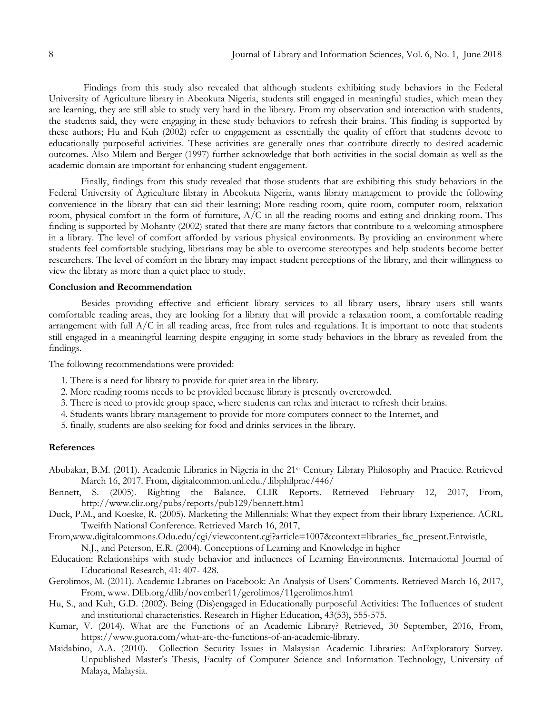Findings from this study also revealed that although students exhibiting study behaviors in the Federal University of Agriculture library in Abeokuta Nigeria, students still engaged in meaningful studies, which mean they are learning, they are still able to study very hard in the library. From my observation and interaction with students, the students said, they were engaging in these study behaviors to refresh their brains. This finding is supported by these authors; Hu and Kuh (2002) refer to engagement as essentially the quality of effort that students devote to educationally purposeful activities. These activities are generally ones that contribute directly to desired academic outcomes. Also Milem and Berger (1997) further acknowledge that both activities in the social domain as well as the academic domain are important for enhancing student engagement.

Finally, findings from this study revealed that those students that are exhibiting this study behaviors in the Federal University of Agriculture library in Abeokuta Nigeria, wants library management to provide the following convenience in the library that can aid their learning; More reading room, quite room, computer room, relaxation room, physical comfort in the form of furniture,  $A/C$  in all the reading rooms and eating and drinking room. This finding is supported by Mohanty (2002) stated that there are many factors that contribute to a welcoming atmosphere in a library. The level of comfort afforded by various physical environments. By providing an environment where students feel comfortable studying, librarians may be able to overcome stereotypes and help students become better researchers. The level of comfort in the library may impact student perceptions of the library, and their willingness to view the library as more than a quiet place to study.

## **Conclusion and Recommendation**

Besides providing effective and efficient library services to all library users, library users still wants comfortable reading areas, they are looking for a library that will provide a relaxation room, a comfortable reading arrangement with full A/C in all reading areas, free from rules and regulations. It is important to note that students still engaged in a meaningful learning despite engaging in some study behaviors in the library as revealed from the findings.

The following recommendations were provided:

- 1. There is a need for library to provide for quiet area in the library.
- 2. More reading rooms needs to be provided because library is presently overcrowded.
- 3. There is need to provide group space, where students can relax and interact to refresh their brains.
- 4. Students wants library management to provide for more computers connect to the Internet, and
- 5. finally, students are also seeking for food and drinks services in the library.

#### **References**

- Abubakar, B.M. (2011). Academic Libraries in Nigeria in the 21st Century Library Philosophy and Practice. Retrieved March 16, 2017. From, digitalcommon.unl.edu./.libphilprac/446/
- Bennett, S. (2005). Righting the Balance. CLIR Reports. Retrieved February 12, 2017, From, http://www.clir.org/pubs/reports/pub129/bennett.htm1
- Duck, P.M., and Koeske, R. (2005). Marketing the Millennials: What they expect from their library Experience. ACRL Tweifth National Conference. Retrieved March 16, 2017,
- From,www.digitalcommons.Odu.edu/cgi/viewcontent.cgi?article=1007&context=libraries\_fac\_present.Entwistle, N.J., and Peterson, E.R. (2004). Conceptions of Learning and Knowledge in higher
- Education: Relationships with study behavior and influences of Learning Environments. International Journal of Educational Research, 41: 407- 428.
- Gerolimos, M. (2011). Academic Libraries on Facebook: An Analysis of Users' Comments. Retrieved March 16, 2017, From, www. Dlib.org/dlib/november11/gerolimos/11gerolimos.htm1
- Hu, S., and Kuh, G.D. (2002). Being (Dis)engaged in Educationally purposeful Activities: The Influences of student and institutional characteristics. Research in Higher Education, 43(53), 555-575.
- Kumar, V. (2014). What are the Functions of an Academic Library? Retrieved, 30 September, 2016, From, https://www.guora.com/what-are-the-functions-of-an-academic-library.
- Maidabino, A.A. (2010). Collection Security Issues in Malaysian Academic Libraries: AnExploratory Survey. Unpublished Master's Thesis, Faculty of Computer Science and Information Technology, University of Malaya, Malaysia.